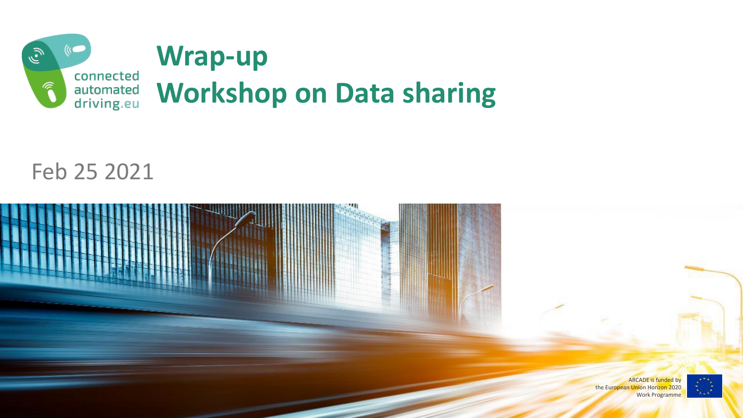

#### Feb 25 2021



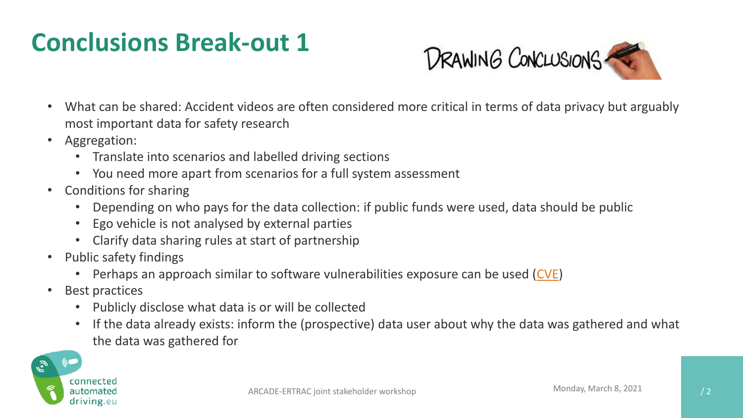## **Conclusions Break-out 1**



- What can be shared: Accident videos are often considered more critical in terms of data privacy but arguably most important data for safety research
- Aggregation:
	- Translate into scenarios and labelled driving sections
	- You need more apart from scenarios for a full system assessment
- Conditions for sharing
	- Depending on who pays for the data collection: if public funds were used, data should be public
	- Ego vehicle is not analysed by external parties
	- Clarify data sharing rules at start of partnership
- Public safety findings
	- Perhaps an approach similar to software vulnerabilities exposure can be used [\(CVE\)](https://cve.mitre.org/about/index.html)
- Best practices
	- Publicly disclose what data is or will be collected
	- If the data already exists: inform the (prospective) data user about why the data was gathered and what the data was gathered for

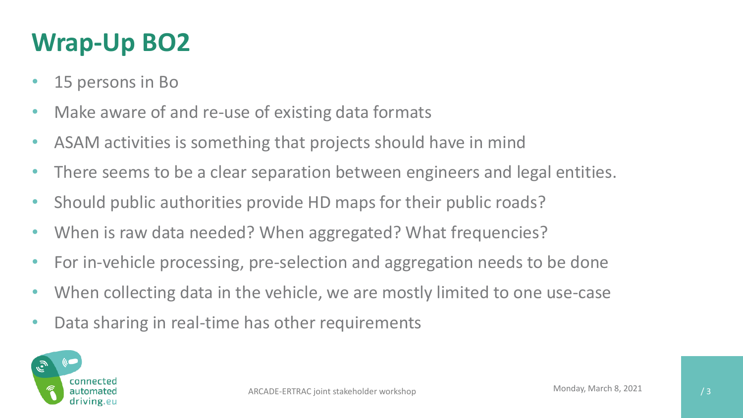# **Wrap-Up BO2**

- 15 persons in Bo
- Make aware of and re-use of existing data formats
- ASAM activities is something that projects should have in mind
- There seems to be a clear separation between engineers and legal entities.
- Should public authorities provide HD maps for their public roads?
- When is raw data needed? When aggregated? What frequencies?
- For in-vehicle processing, pre-selection and aggregation needs to be done
- When collecting data in the vehicle, we are mostly limited to one use-case
- Data sharing in real-time has other requirements

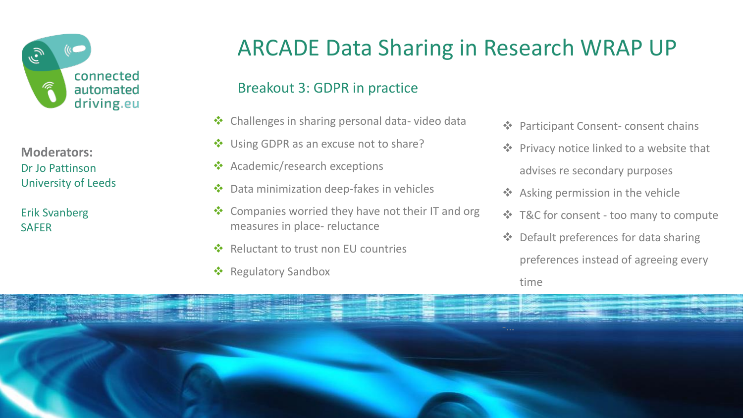

**Moderators:** Dr Jo Pattinson University of Leeds

Erik Svanberg **SAFER** 

### ARCADE Data Sharing in Research WRAP UP

#### Breakout 3: GDPR in practice

- ❖ Challenges in sharing personal data- video data
- Using GDPR as an excuse not to share?
- ❖ Academic/research exceptions
- ❖ Data minimization deep-fakes in vehicles
- ❖ Companies worried they have not their IT and org measures in place- reluctance
- Reluctant to trust non EU countries
- ❖ Regulatory Sandbox
- ❖ Participant Consent- consent chains
- ❖ Privacy notice linked to a website that advises re secondary purposes
- ❖ Asking permission in the vehicle
- ❖ T&C for consent too many to compute
- ❖ Default preferences for data sharing

preferences instead of agreeing every